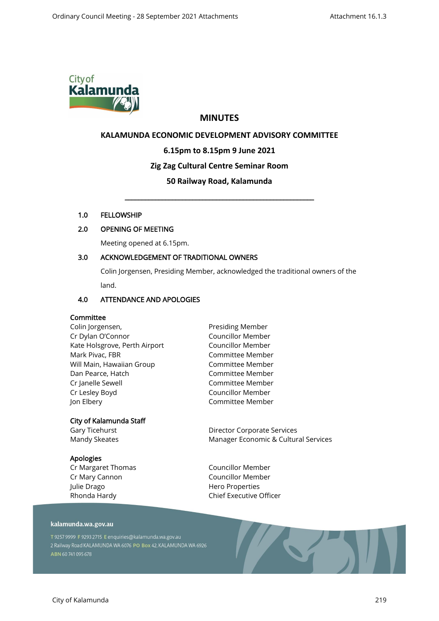

# **MINUTES**

# **KALAMUNDA ECONOMIC DEVELOPMENT ADVISORY COMMITTEE**

### **6.15pm to 8.15pm 9 June 2021**

# **Zig Zag Cultural Centre Seminar Room**

# **50 Railway Road, Kalamunda**

\_\_\_\_\_\_\_\_\_\_\_\_\_\_\_\_\_\_\_\_\_\_\_\_\_\_\_\_\_\_\_\_\_\_\_\_\_\_\_\_\_\_\_\_\_\_\_\_\_\_\_\_\_\_\_\_

### 1.0 FELLOWSHIP

# 2.0 OPENING OF MEETING

Meeting opened at 6.15pm.

# 3.0 ACKNOWLEDGEMENT OF TRADITIONAL OWNERS

Colin Jorgensen, Presiding Member, acknowledged the traditional owners of the land.

### 4.0 ATTENDANCE AND APOLOGIES

### Committee

Colin Jorgensen, Cr Dylan O'Connor Kate Holsgrove, Perth Airport Mark Pivac, FBR Will Main, Hawaiian Group Dan Pearce, Hatch Cr Janelle Sewell Cr Lesley Boyd Jon Elbery

# City of Kalamunda Staff

Gary Ticehurst Mandy Skeates

### Apologies

Cr Margaret Thomas Cr Mary Cannon Julie Drago Rhonda Hardy

Presiding Member Councillor Member Councillor Member Committee Member Committee Member Committee Member Committee Member Councillor Member Committee Member

Director Corporate Services Manager Economic & Cultural Services

Councillor Member Councillor Member Hero Properties Chief Executive Officer

### kalamunda.wa.gov.au

T 9257 9999 F 9293 2715 E enquiries@kalamunda.wa.gov.au 2 Railway Road KALAMUNDA WA 6076 PO Box 42, KALAMUNDA WA 6926 ABN 60741095678

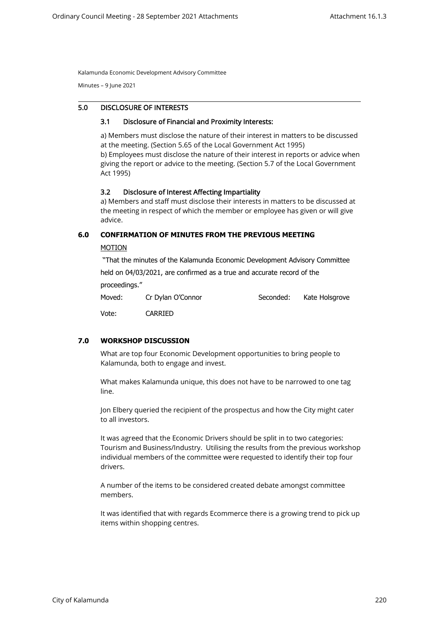Kalamunda Economic Development Advisory Committee

Minutes – 9 June 2021

# 5.0 DISCLOSURE OF INTERESTS

### 3.1 Disclosure of Financial and Proximity Interests:

a) Members must disclose the nature of their interest in matters to be discussed at the meeting. (Section 5.65 of the Local Government Act 1995) b) Employees must disclose the nature of their interest in reports or advice when giving the report or advice to the meeting. (Section 5.7 of the Local Government Act 1995)

### 3.2 Disclosure of Interest Affecting Impartiality

a) Members and staff must disclose their interests in matters to be discussed at the meeting in respect of which the member or employee has given or will give advice.

### **6.0 CONFIRMATION OF MINUTES FROM THE PREVIOUS MEETING**

### MOTION

"That the minutes of the Kalamunda Economic Development Advisory Committee held on 04/03/2021, are confirmed as a true and accurate record of the

proceedings."

| Moved: | Cr Dylan O'Connor | Seconded: | Kate Holsgrove |
|--------|-------------------|-----------|----------------|
|        |                   |           |                |

Vote: CARRIED

# **7.0 WORKSHOP DISCUSSION**

What are top four Economic Development opportunities to bring people to Kalamunda, both to engage and invest.

What makes Kalamunda unique, this does not have to be narrowed to one tag line.

Jon Elbery queried the recipient of the prospectus and how the City might cater to all investors.

It was agreed that the Economic Drivers should be split in to two categories: Tourism and Business/Industry. Utilising the results from the previous workshop individual members of the committee were requested to identify their top four drivers.

A number of the items to be considered created debate amongst committee members.

It was identified that with regards Ecommerce there is a growing trend to pick up items within shopping centres.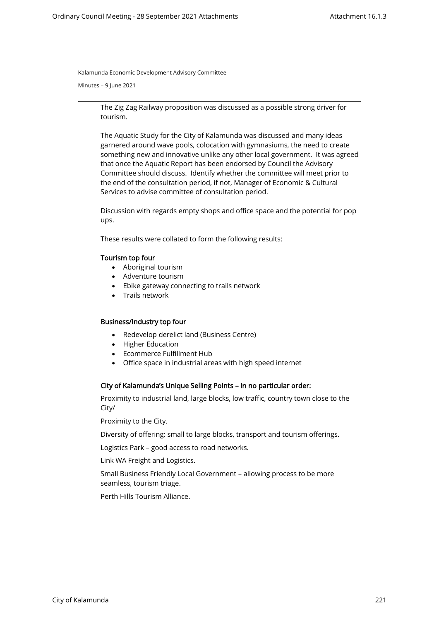Kalamunda Economic Development Advisory Committee

Minutes – 9 June 2021

The Zig Zag Railway proposition was discussed as a possible strong driver for tourism.

The Aquatic Study for the City of Kalamunda was discussed and many ideas garnered around wave pools, colocation with gymnasiums, the need to create something new and innovative unlike any other local government. It was agreed that once the Aquatic Report has been endorsed by Council the Advisory Committee should discuss. Identify whether the committee will meet prior to the end of the consultation period, if not, Manager of Economic & Cultural Services to advise committee of consultation period.

Discussion with regards empty shops and office space and the potential for pop ups.

These results were collated to form the following results:

### Tourism top four

- Aboriginal tourism
- Adventure tourism
- Ebike gateway connecting to trails network
- Trails network

### Business/Industry top four

- Redevelop derelict land (Business Centre)
- Higher Education
- Ecommerce Fulfillment Hub
- Office space in industrial areas with high speed internet

### City of Kalamunda's Unique Selling Points – in no particular order:

Proximity to industrial land, large blocks, low traffic, country town close to the City/

Proximity to the City.

Diversity of offering: small to large blocks, transport and tourism offerings.

Logistics Park – good access to road networks.

Link WA Freight and Logistics.

Small Business Friendly Local Government – allowing process to be more seamless, tourism triage.

Perth Hills Tourism Alliance.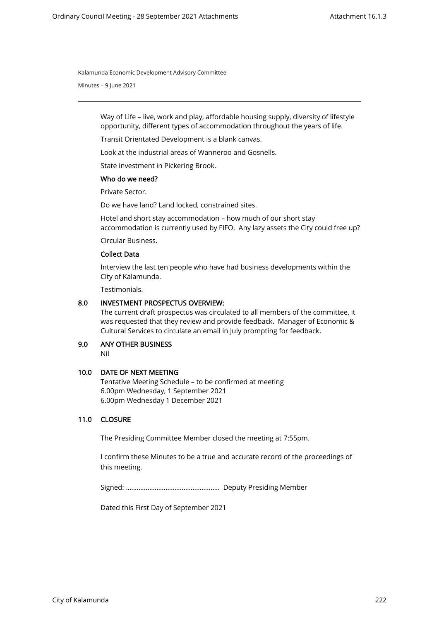Kalamunda Economic Development Advisory Committee

Minutes – 9 June 2021

Way of Life – live, work and play, affordable housing supply, diversity of lifestyle opportunity, different types of accommodation throughout the years of life.

Transit Orientated Development is a blank canvas.

Look at the industrial areas of Wanneroo and Gosnells.

State investment in Pickering Brook.

#### Who do we need?

Private Sector.

Do we have land? Land locked, constrained sites.

Hotel and short stay accommodation – how much of our short stay accommodation is currently used by FIFO. Any lazy assets the City could free up?

Circular Business.

## Collect Data

Interview the last ten people who have had business developments within the City of Kalamunda.

Testimonials.

## 8.0 INVESTMENT PROSPECTUS OVERVIEW:

The current draft prospectus was circulated to all members of the committee, it was requested that they review and provide feedback. Manager of Economic & Cultural Services to circulate an email in July prompting for feedback.

# 9.0 ANY OTHER BUSINESS

Nil

### 10.0 DATE OF NEXT MEETING

Tentative Meeting Schedule – to be confirmed at meeting 6.00pm Wednesday, 1 September 2021 6.00pm Wednesday 1 December 2021

# 11.0 CLOSURE

The Presiding Committee Member closed the meeting at 7:55pm.

I confirm these Minutes to be a true and accurate record of the proceedings of this meeting.

Signed: ……………………………………………. Deputy Presiding Member

Dated this First Day of September 2021